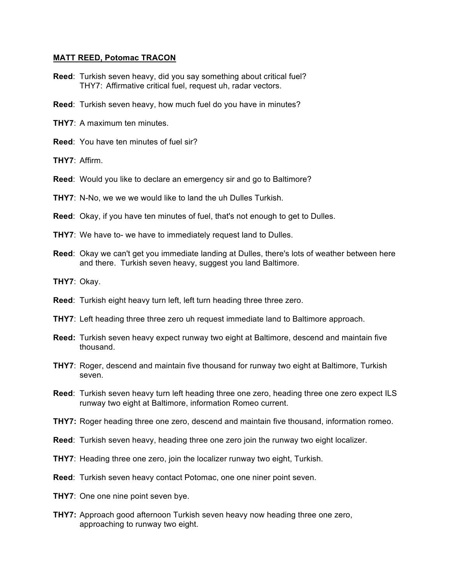## **MATT REED, Potomac TRACON**

- **Reed**: Turkish seven heavy, did you say something about critical fuel? THY7: Affirmative critical fuel, request uh, radar vectors.
- **Reed**: Turkish seven heavy, how much fuel do you have in minutes?
- **THY7**: A maximum ten minutes.
- **Reed**: You have ten minutes of fuel sir?
- **THY7**: Affirm.
- **Reed**: Would you like to declare an emergency sir and go to Baltimore?
- **THY7**: N-No, we we we would like to land the uh Dulles Turkish.
- **Reed**: Okay, if you have ten minutes of fuel, that's not enough to get to Dulles.
- **THY7:** We have to- we have to immediately request land to Dulles.
- **Reed**: Okay we can't get you immediate landing at Dulles, there's lots of weather between here and there. Turkish seven heavy, suggest you land Baltimore.
- **THY7**: Okay.
- **Reed**: Turkish eight heavy turn left, left turn heading three three zero.
- **THY7**: Left heading three three zero uh request immediate land to Baltimore approach.
- **Reed:** Turkish seven heavy expect runway two eight at Baltimore, descend and maintain five thousand.
- **THY7**: Roger, descend and maintain five thousand for runway two eight at Baltimore, Turkish seven.
- **Reed**: Turkish seven heavy turn left heading three one zero, heading three one zero expect ILS runway two eight at Baltimore, information Romeo current.
- **THY7:** Roger heading three one zero, descend and maintain five thousand, information romeo.
- **Reed**: Turkish seven heavy, heading three one zero join the runway two eight localizer.
- **THY7**: Heading three one zero, join the localizer runway two eight, Turkish.
- **Reed**: Turkish seven heavy contact Potomac, one one niner point seven.
- **THY7:** One one nine point seven bye.
- **THY7:** Approach good afternoon Turkish seven heavy now heading three one zero, approaching to runway two eight.